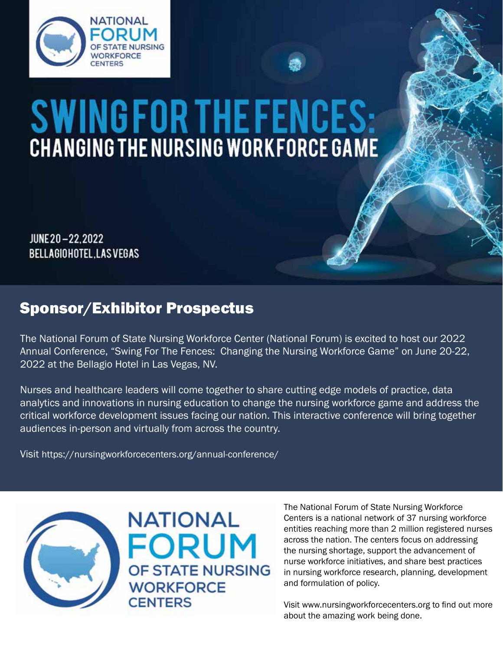

# **SWINGFORTHEFENCES:**<br>CHANGING THE NURSING WORKFORCE GAME

JUNE 20-22, 2022 **BELLAGIOHOTEL, LAS VEGAS** 

## Sponsor/Exhibitor Prospectus

The National Forum of State Nursing Workforce Center (National Forum) is excited to host our 2022 Annual Conference, "Swing For The Fences: Changing the Nursing Workforce Game" on June 20-22, 2022 at the Bellagio Hotel in Las Vegas, NV.

Nurses and healthcare leaders will come together to share cutting edge models of practice, data analytics and innovations in nursing education to change the nursing workforce game and address the critical workforce development issues facing our nation. This interactive conference will bring together audiences in-person and virtually from across the country.

Visit https://nursingworkforcecenters.org/annual-conference/



**NATIONAL FORUM** OF STATE NURSING **WORKFORCE CENTERS** 

The National Forum of State Nursing Workforce Centers is a national network of 37 nursing workforce entities reaching more than 2 million registered nurses across the nation. The centers focus on addressing the nursing shortage, support the advancement of nurse workforce initiatives, and share best practices in nursing workforce research, planning, development and formulation of policy.

Visit www.nursingworkforcecenters.org to find out more about the amazing work being done.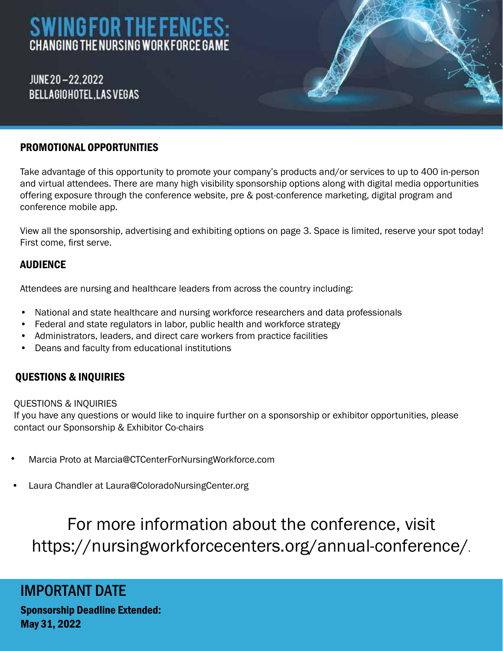# **SWINGFOR THE FENCES:** CHANGING THE NURSING WORK FORCE GAME

JUNE 20-22.2022 BELLAGIOHOTEL.LASVEGAS

#### PROMOTIONAL OPPORTUNITIES

Take advantage of this opportunity to promote your company's products and/or services to up to 400 in-person and virtual attendees. There are many high visibility sponsorship options along with digital media opportunities offering exposure through the conference website, pre & post-conference marketing, digital program and conference mobile app.

View all the sponsorship, advertising and exhibiting options on page 3. Space is limited, reserve your spot today! First come, first serve.

#### **AUDIENCE**

Attendees are nursing and healthcare leaders from across the country including:

- National and state healthcare and nursing workforce researchers and data professionals
- Federal and state regulators in labor, public health and workforce strategy
- Administrators, leaders, and direct care workers from practice facilities
- Deans and faculty from educational institutions

#### QUESTIONS & INQUIRIES

#### QUESTIONS & INQUIRIES

If you have any questions or would like to inquire further on a sponsorship or exhibitor opportunities, please contact our Sponsorship & Exhibitor Co-chairs

- Marcia Proto at Marcia@CTCenterForNursingWorkforce.com
- Laura Chandler at Laura@ColoradoNursingCenter.org

# For more information about the conference, visit https://nursingworkforcecenters.org/annual-conference/.

### IMPORTANT DATE

Sponsorship Deadline Extended: May 31, 2022